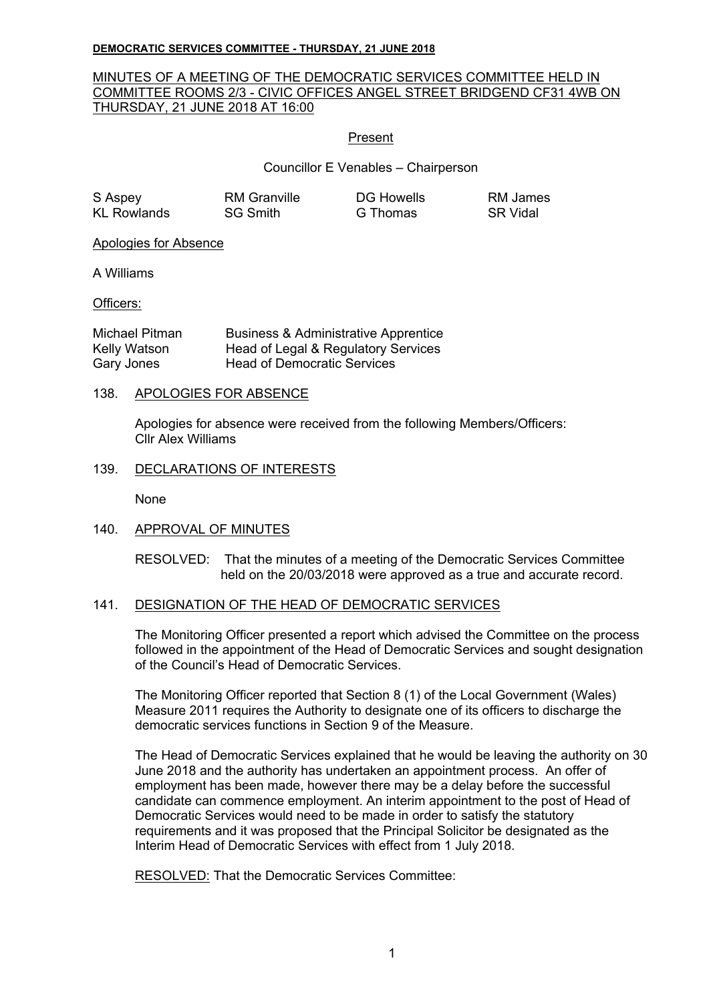#### **DEMOCRATIC SERVICES COMMITTEE - THURSDAY, 21 JUNE 2018**

## MINUTES OF A MEETING OF THE DEMOCRATIC SERVICES COMMITTEE HELD IN COMMITTEE ROOMS 2/3 - CIVIC OFFICES ANGEL STREET BRIDGEND CF31 4WB ON THURSDAY, 21 JUNE 2018 AT 16:00

### Present

Councillor E Venables – Chairperson

| S Aspey     | <b>RM</b> Granville | <b>DG Howells</b> | RM James        |
|-------------|---------------------|-------------------|-----------------|
| KL Rowlands | <b>SG Smith</b>     | G Thomas          | <b>SR</b> Vidal |

Apologies for Absence

A Williams

Officers:

| Michael Pitman | <b>Business &amp; Administrative Apprentice</b> |
|----------------|-------------------------------------------------|
| Kelly Watson   | Head of Legal & Regulatory Services             |
| Gary Jones     | <b>Head of Democratic Services</b>              |

#### 138. APOLOGIES FOR ABSENCE

Apologies for absence were received from the following Members/Officers: Cllr Alex Williams

#### 139. DECLARATIONS OF INTERESTS

None

### 140. APPROVAL OF MINUTES

RESOLVED: That the minutes of a meeting of the Democratic Services Committee held on the 20/03/2018 were approved as a true and accurate record.

### 141. DESIGNATION OF THE HEAD OF DEMOCRATIC SERVICES

The Monitoring Officer presented a report which advised the Committee on the process followed in the appointment of the Head of Democratic Services and sought designation of the Council's Head of Democratic Services.

The Monitoring Officer reported that Section 8 (1) of the Local Government (Wales) Measure 2011 requires the Authority to designate one of its officers to discharge the democratic services functions in Section 9 of the Measure.

The Head of Democratic Services explained that he would be leaving the authority on 30 June 2018 and the authority has undertaken an appointment process. An offer of employment has been made, however there may be a delay before the successful candidate can commence employment. An interim appointment to the post of Head of Democratic Services would need to be made in order to satisfy the statutory requirements and it was proposed that the Principal Solicitor be designated as the Interim Head of Democratic Services with effect from 1 July 2018.

RESOLVED: That the Democratic Services Committee: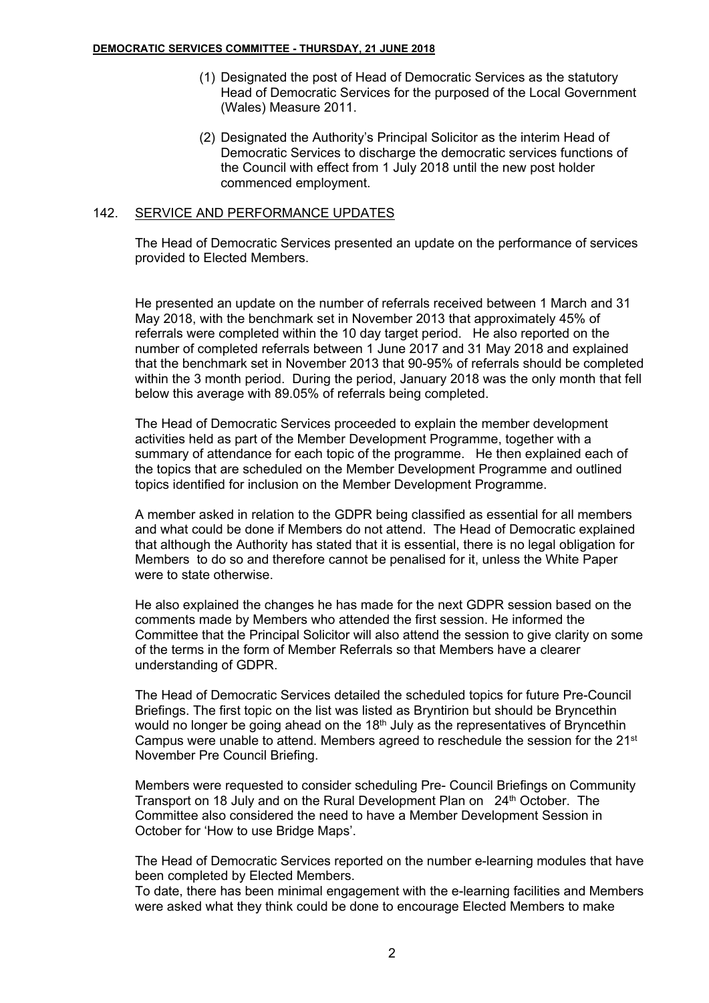- (1) Designated the post of Head of Democratic Services as the statutory Head of Democratic Services for the purposed of the Local Government (Wales) Measure 2011.
- (2) Designated the Authority's Principal Solicitor as the interim Head of Democratic Services to discharge the democratic services functions of the Council with effect from 1 July 2018 until the new post holder commenced employment.

# 142. SERVICE AND PERFORMANCE UPDATES

The Head of Democratic Services presented an update on the performance of services provided to Elected Members.

He presented an update on the number of referrals received between 1 March and 31 May 2018, with the benchmark set in November 2013 that approximately 45% of referrals were completed within the 10 day target period. He also reported on the number of completed referrals between 1 June 2017 and 31 May 2018 and explained that the benchmark set in November 2013 that 90-95% of referrals should be completed within the 3 month period. During the period, January 2018 was the only month that fell below this average with 89.05% of referrals being completed.

The Head of Democratic Services proceeded to explain the member development activities held as part of the Member Development Programme, together with a summary of attendance for each topic of the programme. He then explained each of the topics that are scheduled on the Member Development Programme and outlined topics identified for inclusion on the Member Development Programme.

A member asked in relation to the GDPR being classified as essential for all members and what could be done if Members do not attend. The Head of Democratic explained that although the Authority has stated that it is essential, there is no legal obligation for Members to do so and therefore cannot be penalised for it, unless the White Paper were to state otherwise.

He also explained the changes he has made for the next GDPR session based on the comments made by Members who attended the first session. He informed the Committee that the Principal Solicitor will also attend the session to give clarity on some of the terms in the form of Member Referrals so that Members have a clearer understanding of GDPR.

The Head of Democratic Services detailed the scheduled topics for future Pre-Council Briefings. The first topic on the list was listed as Bryntirion but should be Bryncethin would no longer be going ahead on the 18<sup>th</sup> July as the representatives of Bryncethin Campus were unable to attend. Members agreed to reschedule the session for the  $21<sup>st</sup>$ November Pre Council Briefing.

Members were requested to consider scheduling Pre- Council Briefings on Community Transport on 18 July and on the Rural Development Plan on 24<sup>th</sup> October. The Committee also considered the need to have a Member Development Session in October for 'How to use Bridge Maps'.

The Head of Democratic Services reported on the number e-learning modules that have been completed by Elected Members.

To date, there has been minimal engagement with the e-learning facilities and Members were asked what they think could be done to encourage Elected Members to make